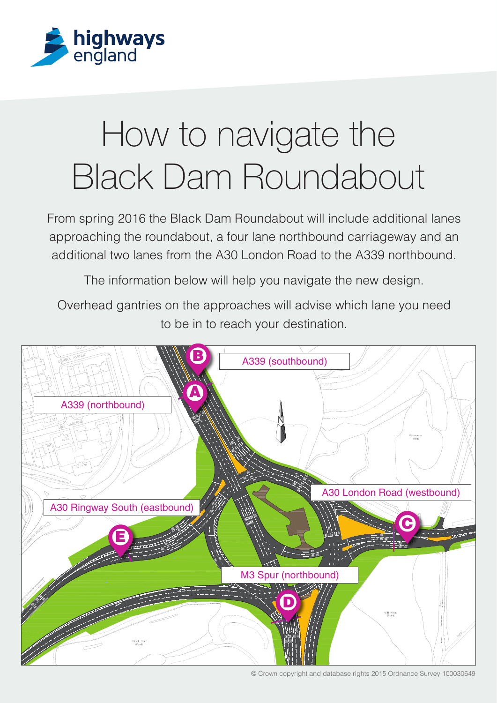

## How to navigate the Black Dam Roundabout

From spring 2016 the Black Dam Roundabout will include additional lanes approaching the roundabout, a four lane northbound carriageway and an additional two lanes from the A30 London Road to the A339 northbound.

The information below will help you navigate the new design.

Overhead gantries on the approaches will advise which lane you need to be in to reach your destination.



© Crown copyright and database rights 2015 Ordnance Survey 100030649